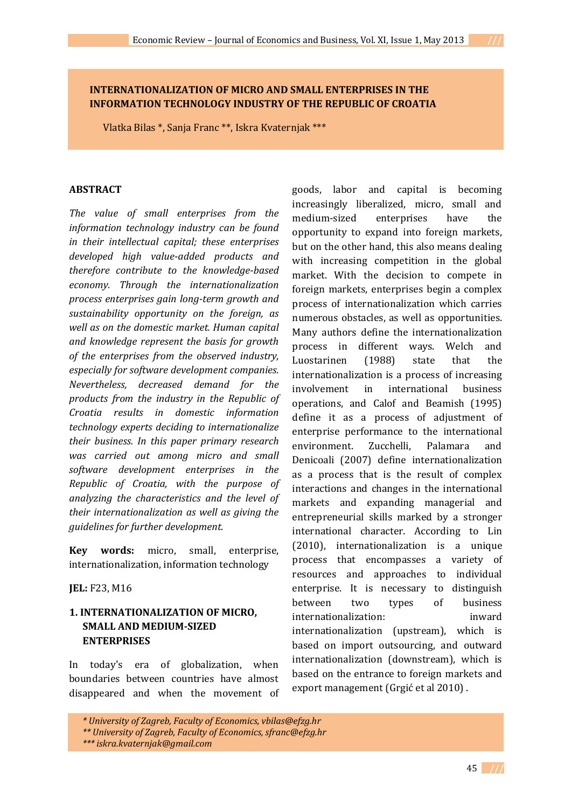# **INTERNATIONALIZATION OF MICRO AND SMALL ENTERPRISES IN THE INFORMATION TECHNOLOGY INDUSTRY OF THE REPUBLIC OF CROATIA**

Vlatka Bilas \*, Sanja Franc \*\*, Iskra Kvaternjak \*\*\*

#### **ABSTRACT**

*The value of small enterprises from the information technology industry can be found in their intellectual capital; these enterprises developed high value-added products and therefore contribute to the knowledge-based economy. Through the internationalization process enterprises gain long-term growth and sustainability opportunity on the foreign, as well as on the domestic market. Human capital and knowledge represent the basis for growth of the enterprises from the observed industry, especially for software development companies. Nevertheless, decreased demand for the products from the industry in the Republic of Croatia results in domestic information technology experts deciding to internationalize their business. In this paper primary research was carried out among micro and small software development enterprises in the Republic of Croatia, with the purpose of analyzing the characteristics and the level of their internationalization as well as giving the guidelines for further development.*

**Key words:** micro, small, enterprise, internationalization, information technology

**JEL:** F23, M16

# **1. INTERNATIONALIZATION OF MICRO, SMALL AND MEDIUM-SIZED ENTERPRISES**

In today's era of globalization, when boundaries between countries have almost disappeared and when the movement of

goods, labor and capital is becoming increasingly liberalized, micro, small and medium-sized enterprises have the opportunity to expand into foreign markets, but on the other hand, this also means dealing with increasing competition in the global market. With the decision to compete in foreign markets, enterprises begin a complex process of internationalization which carries numerous obstacles, as well as opportunities. Many authors define the internationalization process in different ways. Welch and Luostarinen (1988) state that the internationalization is a process of increasing involvement in international business operations, and Calof and Beamish (1995) define it as a process of adjustment of enterprise performance to the international environment. Zucchelli, Palamara and Denicoali (2007) define internationalization as a process that is the result of complex interactions and changes in the international markets and expanding managerial and entrepreneurial skills marked by a stronger international character. According to Lin (2010), internationalization is a unique process that encompasses a variety of resources and approaches to individual enterprise. It is necessary to distinguish between two types of business internationalization: inward internationalization (upstream), which is based on import outsourcing, and outward internationalization (downstream), which is based on the entrance to foreign markets and export management (Grgić et al 2010) .

*<sup>\*</sup> University of Zagreb, Faculty of Economics, vbilas@efzg.hr*

*<sup>\*\*</sup> University of Zagreb, Faculty of Economics, sfranc@efzg.hr*

*<sup>\*\*\*</sup> iskra.kvaternjak@gmail.com*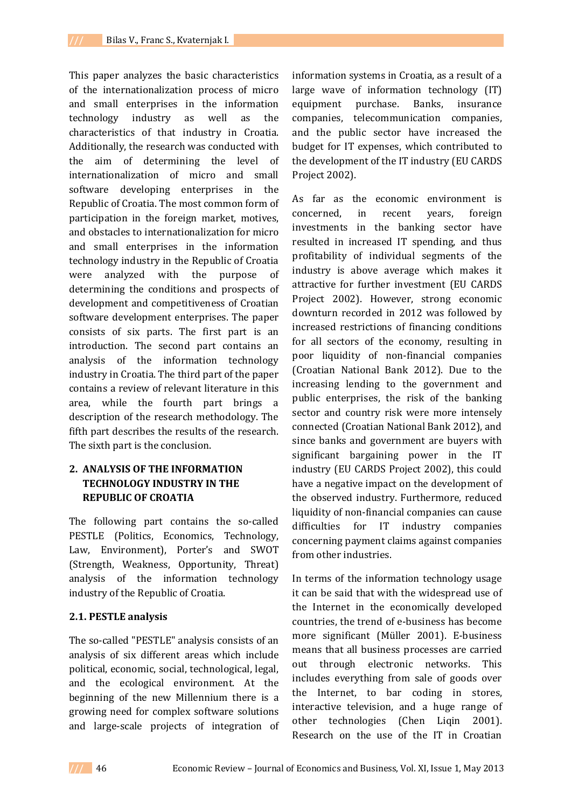This paper analyzes the basic characteristics of the internationalization process of micro and small enterprises in the information technology industry as well as the characteristics of that industry in Croatia. Additionally, the research was conducted with the aim of determining the level of internationalization of micro and small software developing enterprises in the Republic of Croatia. The most common form of participation in the foreign market, motives, and obstacles to internationalization for micro and small enterprises in the information technology industry in the Republic of Croatia were analyzed with the purpose of determining the conditions and prospects of development and competitiveness of Croatian software development enterprises. The paper consists of six parts. The first part is an introduction. The second part contains an analysis of the information technology industry in Croatia. The third part of the paper contains a review of relevant literature in this area, while the fourth part brings a description of the research methodology. The fifth part describes the results of the research. The sixth part is the conclusion.

# **2. ANALYSIS OF THE INFORMATION TECHNOLOGY INDUSTRY IN THE REPUBLIC OF CROATIA**

The following part contains the so-called PESTLE (Politics, Economics, Technology, Law, Environment), Porter's and SWOT (Strength, Weakness, Opportunity, Threat) analysis of the information technology industry of the Republic of Croatia.

## **2.1. PESTLE analysis**

The so-called "PESTLE" analysis consists of an analysis of six different areas which include political, economic, social, technological, legal, and the ecological environment. At the beginning of the new Millennium there is a growing need for complex software solutions and large-scale projects of integration of information systems in Croatia, as a result of a large wave of information technology (IT) equipment purchase. Banks, insurance companies, telecommunication companies, and the public sector have increased the budget for IT expenses, which contributed to the development of the IT industry (EU CARDS Project 2002).

As far as the economic environment is concerned, in recent years, foreign investments in the banking sector have resulted in increased IT spending, and thus profitability of individual segments of the industry is above average which makes it attractive for further investment (EU CARDS Project 2002). However, strong economic downturn recorded in 2012 was followed by increased restrictions of financing conditions for all sectors of the economy, resulting in poor liquidity of non-financial companies (Croatian National Bank 2012). Due to the increasing lending to the government and public enterprises, the risk of the banking sector and country risk were more intensely connected (Croatian National Bank 2012), and since banks and government are buyers with significant bargaining power in the IT industry (EU CARDS Project 2002), this could have a negative impact on the development of the observed industry. Furthermore, reduced liquidity of non-financial companies can cause difficulties for IT industry companies concerning payment claims against companies from other industries.

In terms of the information technology usage it can be said that with the widespread use of the Internet in the economically developed countries, the trend of e-business has become more significant (Müller 2001). E-business means that all business processes are carried out through electronic networks. This includes everything from sale of goods over the Internet, to bar coding in stores, interactive television, and a huge range of other technologies (Chen Liqin 2001). Research on the use of the IT in Croatian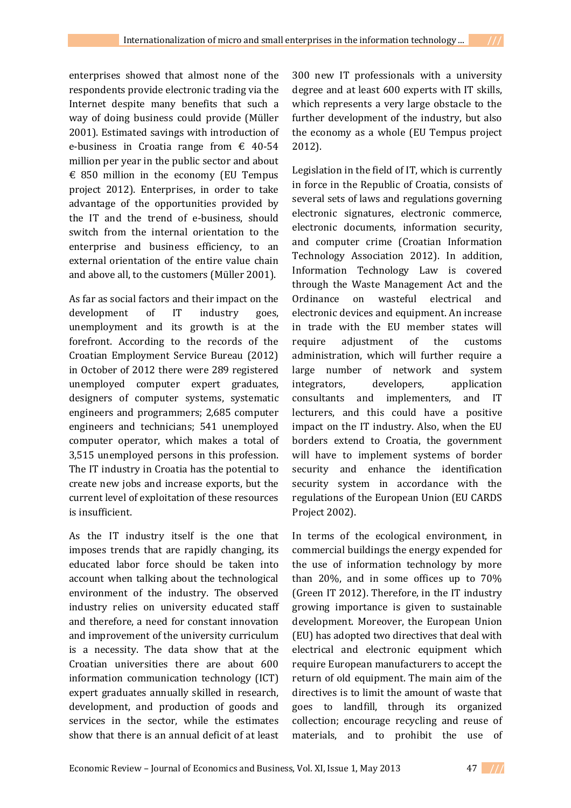enterprises showed that almost none of the respondents provide electronic trading via the Internet despite many benefits that such a way of doing business could provide (Müller 2001). Estimated savings with introduction of e-business in Croatia range from  $\epsilon$  40-54 million per year in the public sector and about  $\epsilon$  850 million in the economy (EU Tempus project 2012). Enterprises, in order to take advantage of the opportunities provided by the IT and the trend of e-business, should switch from the internal orientation to the enterprise and business efficiency, to an external orientation of the entire value chain and above all, to the customers (Müller 2001).

As far as social factors and their impact on the development of IT industry goes, unemployment and its growth is at the forefront. According to the records of the Croatian Employment Service Bureau (2012) in October of 2012 there were 289 registered unemployed computer expert graduates, designers of computer systems, systematic engineers and programmers; 2,685 computer engineers and technicians; 541 unemployed computer operator, which makes a total of 3,515 unemployed persons in this profession. The IT industry in Croatia has the potential to create new jobs and increase exports, but the current level of exploitation of these resources is insufficient.

As the IT industry itself is the one that imposes trends that are rapidly changing, its educated labor force should be taken into account when talking about the technological environment of the industry. The observed industry relies on university educated staff and therefore, a need for constant innovation and improvement of the university curriculum is a necessity. The data show that at the Croatian universities there are about 600 information communication technology (ICT) expert graduates annually skilled in research, development, and production of goods and services in the sector, while the estimates show that there is an annual deficit of at least

300 new IT professionals with a university degree and at least 600 experts with IT skills, which represents a very large obstacle to the further development of the industry, but also the economy as a whole (EU Tempus project 2012).

Legislation in the field of IT, which is currently in force in the Republic of Croatia, consists of several sets of laws and regulations governing electronic signatures, electronic commerce, electronic documents, information security, and computer crime (Croatian Information Technology Association 2012). In addition, Information Technology Law is covered through the Waste Management Act and the Ordinance on wasteful electrical and electronic devices and equipment. An increase in trade with the EU member states will require adjustment of the customs administration, which will further require a large number of network and system integrators, developers, application consultants and implementers, and IT lecturers, and this could have a positive impact on the IT industry. Also, when the EU borders extend to Croatia, the government will have to implement systems of border security and enhance the identification security system in accordance with the regulations of the European Union (EU CARDS Project 2002).

In terms of the ecological environment, in commercial buildings the energy expended for the use of information technology by more than 20%, and in some offices up to 70% (Green IT 2012). Therefore, in the IT industry growing importance is given to sustainable development. Moreover, the European Union (EU) has adopted two directives that deal with electrical and electronic equipment which require European manufacturers to accept the return of old equipment. The main aim of the directives is to limit the amount of waste that goes to landfill, through its organized collection; encourage recycling and reuse of materials, and to prohibit the use of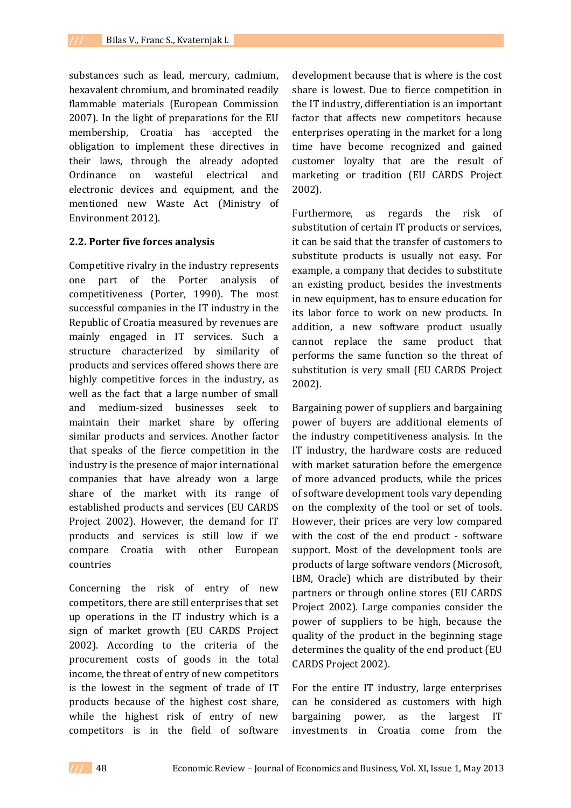substances such as lead, mercury, cadmium, hexavalent chromium, and brominated readily flammable materials (European Commission 2007). In the light of preparations for the EU membership, Croatia has accepted the obligation to implement these directives in their laws, through the already adopted Ordinance on wasteful electrical and electronic devices and equipment, and the mentioned new Waste Act (Ministry of Environment 2012).

### **2.2. Porter five forces analysis**

Competitive rivalry in the industry represents one part of the Porter analysis of competitiveness (Porter, 1990). The most successful companies in the IT industry in the Republic of Croatia measured by revenues are mainly engaged in IT services. Such a structure characterized by similarity of products and services offered shows there are highly competitive forces in the industry, as well as the fact that a large number of small and medium-sized businesses seek to maintain their market share by offering similar products and services. Another factor that speaks of the fierce competition in the industry is the presence of major international companies that have already won a large share of the market with its range of established products and services (EU CARDS Project 2002). However, the demand for IT products and services is still low if we compare Croatia with other European countries

Concerning the risk of entry of new competitors, there are still enterprises that set up operations in the IT industry which is a sign of market growth (EU CARDS Project 2002). According to the criteria of the procurement costs of goods in the total income, the threat of entry of new competitors is the lowest in the segment of trade of IT products because of the highest cost share, while the highest risk of entry of new competitors is in the field of software

development because that is where is the cost share is lowest. Due to fierce competition in the IT industry, differentiation is an important factor that affects new competitors because enterprises operating in the market for a long time have become recognized and gained customer loyalty that are the result of marketing or tradition (EU CARDS Project 2002).

Furthermore, as regards the risk of substitution of certain IT products or services, it can be said that the transfer of customers to substitute products is usually not easy. For example, a company that decides to substitute an existing product, besides the investments in new equipment, has to ensure education for its labor force to work on new products. In addition, a new software product usually cannot replace the same product that performs the same function so the threat of substitution is very small (EU CARDS Project 2002).

Bargaining power of suppliers and bargaining power of buyers are additional elements of the industry competitiveness analysis. In the IT industry, the hardware costs are reduced with market saturation before the emergence of more advanced products, while the prices of software development tools vary depending on the complexity of the tool or set of tools. However, their prices are very low compared with the cost of the end product - software support. Most of the development tools are products of large software vendors (Microsoft, IBM, Oracle) which are distributed by their partners or through online stores (EU CARDS Project 2002). Large companies consider the power of suppliers to be high, because the quality of the product in the beginning stage determines the quality of the end product (EU CARDS Project 2002).

For the entire IT industry, large enterprises can be considered as customers with high bargaining power, as the largest IT investments in Croatia come from the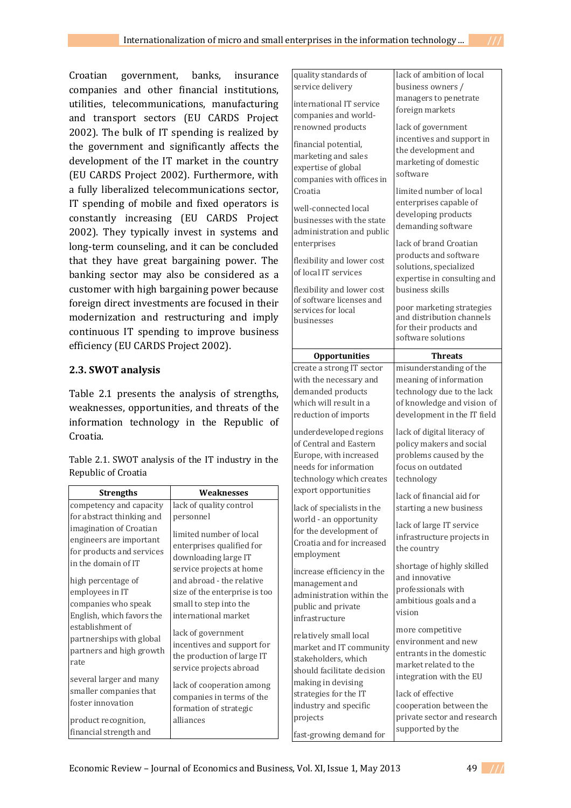Croatian government, banks, insurance companies and other financial institutions, utilities, telecommunications, manufacturing and transport sectors (EU CARDS Project 2002). The bulk of IT spending is realized by the government and significantly affects the development of the IT market in the country (EU CARDS Project 2002). Furthermore, with a fully liberalized telecommunications sector, IT spending of mobile and fixed operators is constantly increasing (EU CARDS Project 2002). They typically invest in systems and long-term counseling, and it can be concluded that they have great bargaining power. The banking sector may also be considered as a customer with high bargaining power because foreign direct investments are focused in their modernization and restructuring and imply continuous IT spending to improve business efficiency (EU CARDS Project 2002).

### **2.3. SWOT analysis**

Table 2.1 presents the analysis of strengths, weaknesses, opportunities, and threats of the information technology in the Republic of Croatia.

Table 2.1. SWOT analysis of the IT industry in the Republic of Croatia

| <b>Strengths</b>                                                                                       | Weaknesses                                                                                                |
|--------------------------------------------------------------------------------------------------------|-----------------------------------------------------------------------------------------------------------|
| competency and capacity                                                                                | lack of quality control                                                                                   |
| for abstract thinking and                                                                              | personnel                                                                                                 |
| imagination of Croatian<br>engineers are important<br>for products and services<br>in the domain of IT | limited number of local<br>enterprises qualified for<br>downloading large IT<br>service projects at home  |
| high percentage of                                                                                     | and abroad - the relative                                                                                 |
| employees in IT                                                                                        | size of the enterprise is too                                                                             |
| companies who speak                                                                                    | small to step into the                                                                                    |
| English, which favors the                                                                              | international market                                                                                      |
| establishment of<br>partnerships with global<br>partners and high growth<br>rate                       | lack of government<br>incentives and support for<br>the production of large IT<br>service projects abroad |
| several larger and many<br>smaller companies that<br>foster innovation                                 | lack of cooperation among<br>companies in terms of the<br>formation of strategic                          |
| product recognition,                                                                                   | alliances                                                                                                 |
| financial strength and                                                                                 |                                                                                                           |

| quality standards of       | lack of ambition of local                    |
|----------------------------|----------------------------------------------|
| service delivery           | business owners /                            |
| international IT service   | managers to penetrate                        |
|                            | foreign markets                              |
| companies and world-       |                                              |
| renowned products          | lack of government                           |
| financial potential,       | incentives and support in                    |
| marketing and sales        | the development and                          |
| expertise of global        | marketing of domestic<br>software            |
| companies with offices in  |                                              |
| Croatia                    | limited number of local                      |
| well-connected local       | enterprises capable of                       |
| businesses with the state  | developing products                          |
| administration and public  | demanding software                           |
| enterprises                | lack of brand Croatian                       |
|                            | products and software                        |
| flexibility and lower cost | solutions, specialized                       |
| of local IT services       | expertise in consulting and                  |
| flexibility and lower cost | business skills                              |
| of software licenses and   |                                              |
| services for local         | poor marketing strategies                    |
| husinesses                 | and distribution channels                    |
|                            | for their products and<br>software solutions |
|                            |                                              |
| <b>Opportunities</b>       | Threats                                      |
| create a strong IT sector  | misunderstanding of the                      |
| with the necessary and     | meaning of information                       |
| demanded products          | technology due to the lack                   |
|                            |                                              |
| which will result in a     | of knowledge and vision of                   |
| reduction of imports       | development in the IT field                  |
| underdeveloped regions     | lack of digital literacy of                  |
| of Central and Eastern     | policy makers and social                     |
| Europe, with increased     | problems caused by the                       |
| needs for information      | focus on outdated                            |
| technology which creates   | technology                                   |
| export opportunities       |                                              |
|                            | lack of financial aid for                    |
| lack of specialists in the | starting a new business                      |
| world - an opportunity     | lack of large IT service                     |
| for the development of     | infrastructure projects in                   |
| Croatia and for increased  | the country                                  |
| employment                 |                                              |
| increase efficiency in the | shortage of highly skilled<br>and innovative |
| management and             | professionals with                           |
| administration within the  |                                              |
| public and private         | ambitious goals and a<br>vision              |
| infrastructure             |                                              |
| relatively small local     | more competitive                             |
| market and IT community    | environment and new                          |
| stakeholders, which        | entrants in the domestic                     |
| should facilitate decision | market related to the                        |
| making in devising         | integration with the EU                      |
| strategies for the IT      | lack of effective                            |
| industry and specific      | cooperation between the                      |
| projects                   | private sector and research                  |
| fast-growing demand for    | supported by the                             |



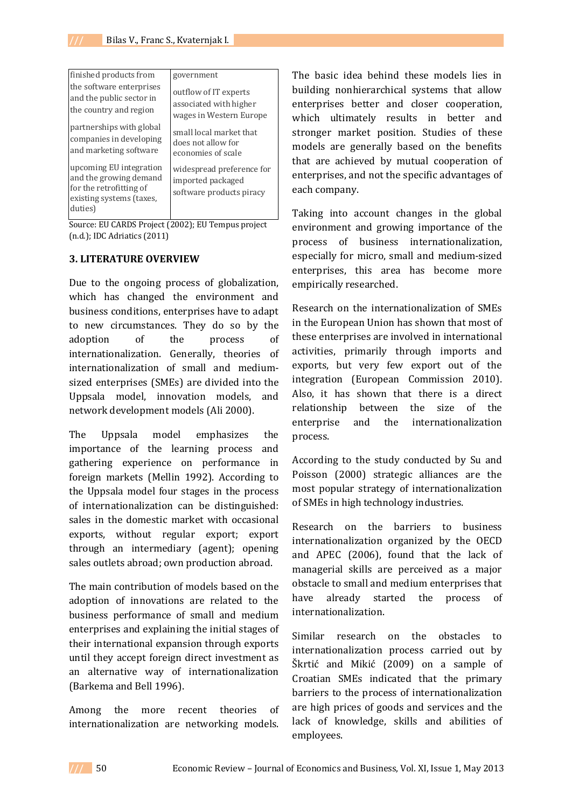| finished products from                                                                                              | government                                                                 |
|---------------------------------------------------------------------------------------------------------------------|----------------------------------------------------------------------------|
| the software enterprises                                                                                            | outflow of IT experts                                                      |
| and the public sector in                                                                                            | associated with higher                                                     |
| the country and region                                                                                              | wages in Western Europe                                                    |
| partnerships with global                                                                                            | small local market that                                                    |
| companies in developing                                                                                             | does not allow for                                                         |
| and marketing software                                                                                              | economies of scale                                                         |
| upcoming EU integration<br>and the growing demand<br>for the retrofitting of<br>existing systems (taxes,<br>duties) | widespread preference for<br>imported packaged<br>software products piracy |

Source: EU CARDS Project (2002); EU Tempus project (n.d.); IDC Adriatics (2011)

### **3. LITERATURE OVERVIEW**

Due to the ongoing process of globalization, which has changed the environment and business conditions, enterprises have to adapt to new circumstances. They do so by the adoption of the process of internationalization. Generally, theories of internationalization of small and mediumsized enterprises (SMEs) are divided into the Uppsala model, innovation models, and network development models (Ali 2000).

The Uppsala model emphasizes the importance of the learning process and gathering experience on performance in foreign markets (Mellin 1992). According to the Uppsala model four stages in the process of internationalization can be distinguished: sales in the domestic market with occasional exports, without regular export; export through an intermediary (agent); opening sales outlets abroad; own production abroad.

The main contribution of models based on the adoption of innovations are related to the business performance of small and medium enterprises and explaining the initial stages of their international expansion through exports until they accept foreign direct investment as an alternative way of internationalization (Barkema and Bell 1996).

Among the more recent theories of internationalization are networking models.

The basic idea behind these models lies in building nonhierarchical systems that allow enterprises better and closer cooperation, which ultimately results in better and stronger market position. Studies of these models are generally based on the benefits that are achieved by mutual cooperation of enterprises, and not the specific advantages of each company.

Taking into account changes in the global environment and growing importance of the process of business internationalization, especially for micro, small and medium-sized enterprises, this area has become more empirically researched.

Research on the internationalization of SMEs in the European Union has shown that most of these enterprises are involved in international activities, primarily through imports and exports, but very few export out of the integration (European Commission 2010). Also, it has shown that there is a direct relationship between the size of the enterprise and the internationalization process.

According to the study conducted by Su and Poisson (2000) strategic alliances are the most popular strategy of internationalization of SMEs in high technology industries.

Research on the barriers to business internationalization organized by the OECD and APEC (2006), found that the lack of managerial skills are perceived as a major obstacle to small and medium enterprises that have already started the process of internationalization.

Similar research on the obstacles to internationalization process carried out by Škrtić and Mikić (2009) on a sample of Croatian SMEs indicated that the primary barriers to the process of internationalization are high prices of goods and services and the lack of knowledge, skills and abilities of employees.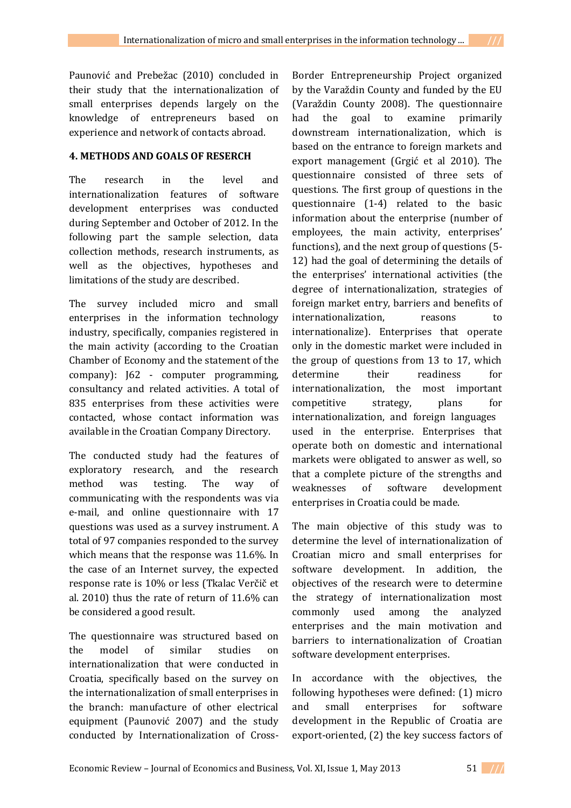Paunović and Prebežac (2010) concluded in their study that the internationalization of small enterprises depends largely on the knowledge of entrepreneurs based on experience and network of contacts abroad.

### **4. METHODS AND GOALS OF RESERCH**

The research in the level and internationalization features of software development enterprises was conducted during September and October of 2012. In the following part the sample selection, data collection methods, research instruments, as well as the objectives, hypotheses and limitations of the study are described.

The survey included micro and small enterprises in the information technology industry, specifically, companies registered in the main activity (according to the Croatian Chamber of Economy and the statement of the company): J62 - computer programming, consultancy and related activities. A total of 835 enterprises from these activities were contacted, whose contact information was available in the Croatian Company Directory.

The conducted study had the features of exploratory research, and the research method was testing. The way of communicating with the respondents was via e-mail, and online questionnaire with 17 questions was used as a survey instrument. A total of 97 companies responded to the survey which means that the response was 11.6%. In the case of an Internet survey, the expected response rate is 10% or less (Tkalac Verčič et al. 2010) thus the rate of return of 11.6% can be considered a good result.

The questionnaire was structured based on the model of similar studies on internationalization that were conducted in Croatia, specifically based on the survey on the internationalization of small enterprises in the branch: manufacture of other electrical equipment (Paunović 2007) and the study conducted by Internationalization of CrossBorder Entrepreneurship Project organized by the Varaždin County and funded by the EU (Varaždin County 2008). The questionnaire had the goal to examine primarily downstream internationalization, which is based on the entrance to foreign markets and export management (Grgić et al 2010). The questionnaire consisted of three sets of questions. The first group of questions in the questionnaire (1-4) related to the basic information about the enterprise (number of employees, the main activity, enterprises' functions), and the next group of questions (5- 12) had the goal of determining the details of the enterprises' international activities (the degree of internationalization, strategies of foreign market entry, barriers and benefits of internationalization, reasons to internationalize). Enterprises that operate only in the domestic market were included in the group of questions from 13 to 17, which determine their readiness for internationalization, the most important competitive strategy, plans for internationalization, and foreign languages used in the enterprise. Enterprises that operate both on domestic and international markets were obligated to answer as well, so that a complete picture of the strengths and weaknesses of software development enterprises in Croatia could be made.

The main objective of this study was to determine the level of internationalization of Croatian micro and small enterprises for software development. In addition, the objectives of the research were to determine the strategy of internationalization most commonly used among the analyzed enterprises and the main motivation and barriers to internationalization of Croatian software development enterprises.

In accordance with the objectives, the following hypotheses were defined: (1) micro and small enterprises for software development in the Republic of Croatia are export-oriented, (2) the key success factors of

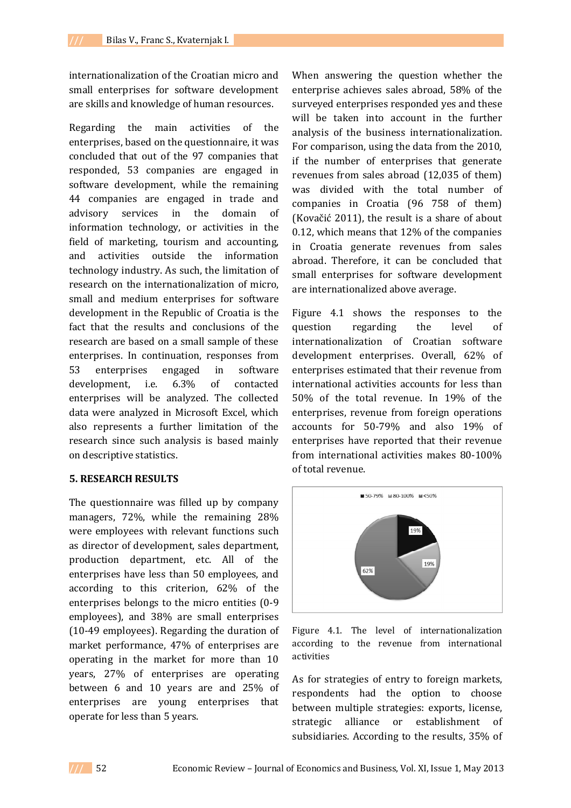internationalization of the Croatian micro and small enterprises for software development are skills and knowledge of human resources.

Regarding the main activities of the enterprises, based on the questionnaire, it was concluded that out of the 97 companies that responded, 53 companies are engaged in software development, while the remaining 44 companies are engaged in trade and advisory services in the domain of information technology, or activities in the field of marketing, tourism and accounting, and activities outside the information technology industry. As such, the limitation of research on the internationalization of micro, small and medium enterprises for software development in the Republic of Croatia is the fact that the results and conclusions of the research are based on a small sample of these enterprises. In continuation, responses from 53 enterprises engaged in software development, i.e. 6.3% of contacted enterprises will be analyzed. The collected data were analyzed in Microsoft Excel, which also represents a further limitation of the research since such analysis is based mainly on descriptive statistics.

#### **5. RESEARCH RESULTS**

The questionnaire was filled up by company managers, 72%, while the remaining 28% were employees with relevant functions such as director of development, sales department, production department, etc. All of the enterprises have less than 50 employees, and according to this criterion, 62% of the enterprises belongs to the micro entities (0-9 employees), and 38% are small enterprises (10-49 employees). Regarding the duration of market performance, 47% of enterprises are operating in the market for more than 10 years, 27% of enterprises are operating between 6 and 10 years are and 25% of enterprises are young enterprises that operate for less than 5 years.

When answering the question whether the enterprise achieves sales abroad, 58% of the surveyed enterprises responded yes and these will be taken into account in the further analysis of the business internationalization. For comparison, using the data from the 2010, if the number of enterprises that generate revenues from sales abroad (12,035 of them) was divided with the total number of companies in Croatia (96 758 of them) (Kovačić 2011), the result is a share of about 0.12, which means that 12% of the companies in Croatia generate revenues from sales abroad. Therefore, it can be concluded that small enterprises for software development are internationalized above average.

Figure 4.1 shows the responses to the question regarding the level of internationalization of Croatian software development enterprises. Overall, 62% of enterprises estimated that their revenue from international activities accounts for less than 50% of the total revenue. In 19% of the enterprises, revenue from foreign operations accounts for 50-79% and also 19% of enterprises have reported that their revenue from international activities makes 80-100% of total revenue.



Figure 4.1. The level of internationalization according to the revenue from international activities

As for strategies of entry to foreign markets, respondents had the option to choose between multiple strategies: exports, license, strategic alliance or establishment of subsidiaries. According to the results, 35% of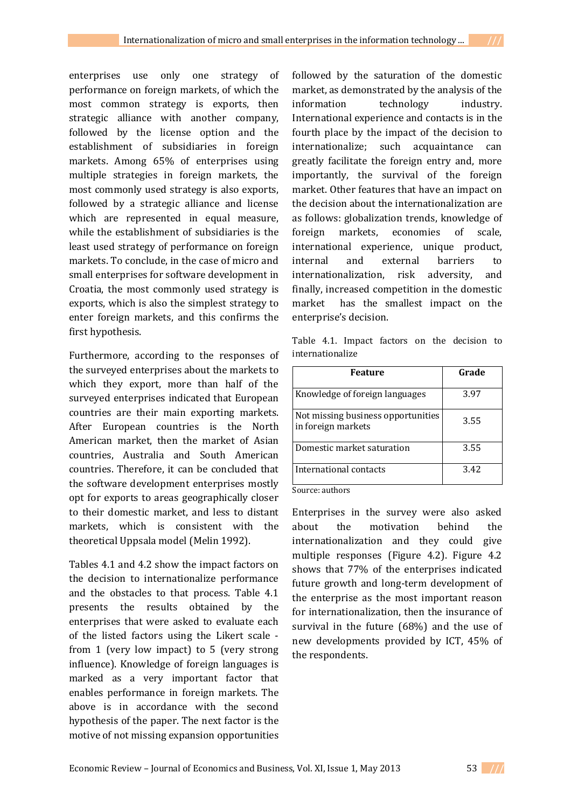enterprises use only one strategy of performance on foreign markets, of which the most common strategy is exports, then strategic alliance with another company, followed by the license option and the establishment of subsidiaries in foreign markets. Among 65% of enterprises using multiple strategies in foreign markets, the most commonly used strategy is also exports, followed by a strategic alliance and license which are represented in equal measure, while the establishment of subsidiaries is the least used strategy of performance on foreign

markets. To conclude, in the case of micro and small enterprises for software development in Croatia, the most commonly used strategy is exports, which is also the simplest strategy to enter foreign markets, and this confirms the first hypothesis.

Furthermore, according to the responses of the surveyed enterprises about the markets to which they export, more than half of the surveyed enterprises indicated that European countries are their main exporting markets. After European countries is the North American market, then the market of Asian countries, Australia and South American countries. Therefore, it can be concluded that the software development enterprises mostly opt for exports to areas geographically closer to their domestic market, and less to distant markets, which is consistent with the theoretical Uppsala model (Melin 1992).

Tables 4.1 and 4.2 show the impact factors on the decision to internationalize performance and the obstacles to that process. Table 4.1 presents the results obtained by the enterprises that were asked to evaluate each of the listed factors using the Likert scale from 1 (very low impact) to 5 (very strong influence). Knowledge of foreign languages is marked as a very important factor that enables performance in foreign markets. The above is in accordance with the second hypothesis of the paper. The next factor is the motive of not missing expansion opportunities

followed by the saturation of the domestic market, as demonstrated by the analysis of the information technology industry. International experience and contacts is in the fourth place by the impact of the decision to internationalize; such acquaintance can greatly facilitate the foreign entry and, more importantly, the survival of the foreign market. Other features that have an impact on the decision about the internationalization are as follows: globalization trends, knowledge of foreign markets, economies of scale, international experience, unique product, internal and external barriers to internationalization, risk adversity, and finally, increased competition in the domestic market has the smallest impact on the enterprise's decision.

Table 4.1. Impact factors on the decision to internationalize

| <b>Feature</b>                                           | Grade |
|----------------------------------------------------------|-------|
| Knowledge of foreign languages                           | 3.97  |
| Not missing business opportunities<br>in foreign markets | 3.55  |
| Domestic market saturation                               | 3.55  |
| International contacts                                   | 3.42  |

Source: authors

Enterprises in the survey were also asked about the motivation behind the internationalization and they could give multiple responses (Figure 4.2). Figure 4.2 shows that 77% of the enterprises indicated future growth and long-term development of the enterprise as the most important reason for internationalization, then the insurance of survival in the future (68%) and the use of new developments provided by ICT, 45% of the respondents.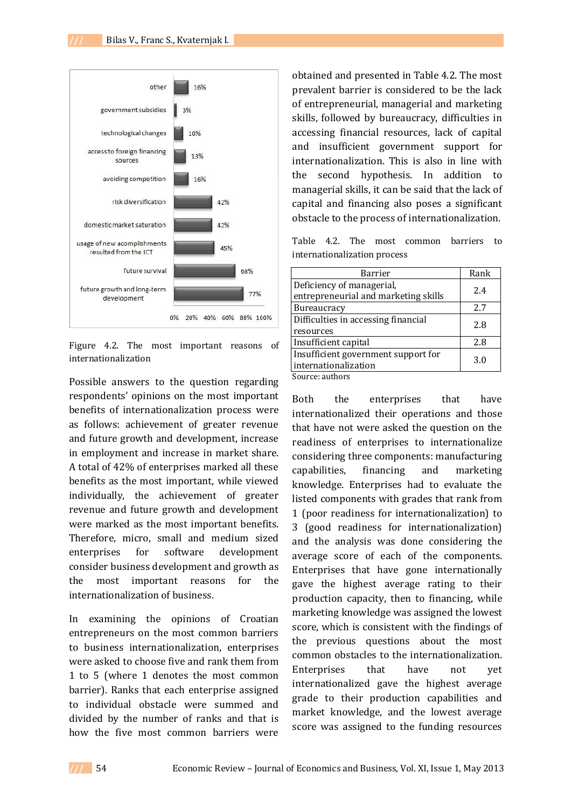

Figure 4.2. The most important reasons of internationalization

Possible answers to the question regarding respondents' opinions on the most important benefits of internationalization process were as follows: achievement of greater revenue and future growth and development, increase in employment and increase in market share. A total of 42% of enterprises marked all these benefits as the most important, while viewed individually, the achievement of greater revenue and future growth and development were marked as the most important benefits. Therefore, micro, small and medium sized enterprises for software development consider business development and growth as the most important reasons for the internationalization of business.

In examining the opinions of Croatian entrepreneurs on the most common barriers to business internationalization, enterprises were asked to choose five and rank them from 1 to 5 (where 1 denotes the most common barrier). Ranks that each enterprise assigned to individual obstacle were summed and divided by the number of ranks and that is how the five most common barriers were

obtained and presented in Table 4.2. The most prevalent barrier is considered to be the lack of entrepreneurial, managerial and marketing skills, followed by bureaucracy, difficulties in accessing financial resources, lack of capital and insufficient government support for internationalization. This is also in line with the second hypothesis. In addition to managerial skills, it can be said that the lack of capital and financing also poses a significant obstacle to the process of internationalization.

Table 4.2. The most common barriers to internationalization process

| Barrier                              | Rank |
|--------------------------------------|------|
| Deficiency of managerial,            | 2.4  |
| entrepreneurial and marketing skills |      |
| <b>Bureaucracy</b>                   | 2.7  |
| Difficulties in accessing financial  | 2.8  |
| resources                            |      |
| Insufficient capital                 | 2.8  |
| Insufficient government support for  | 3.0  |
| internationalization                 |      |
| $C = 1$                              |      |

Source: authors

Both the enterprises that have internationalized their operations and those that have not were asked the question on the readiness of enterprises to internationalize considering three components: manufacturing capabilities, financing and marketing knowledge. Enterprises had to evaluate the listed components with grades that rank from 1 (poor readiness for internationalization) to 3 (good readiness for internationalization) and the analysis was done considering the average score of each of the components. Enterprises that have gone internationally gave the highest average rating to their production capacity, then to financing, while marketing knowledge was assigned the lowest score, which is consistent with the findings of the previous questions about the most common obstacles to the internationalization. Enterprises that have not yet internationalized gave the highest average grade to their production capabilities and market knowledge, and the lowest average score was assigned to the funding resources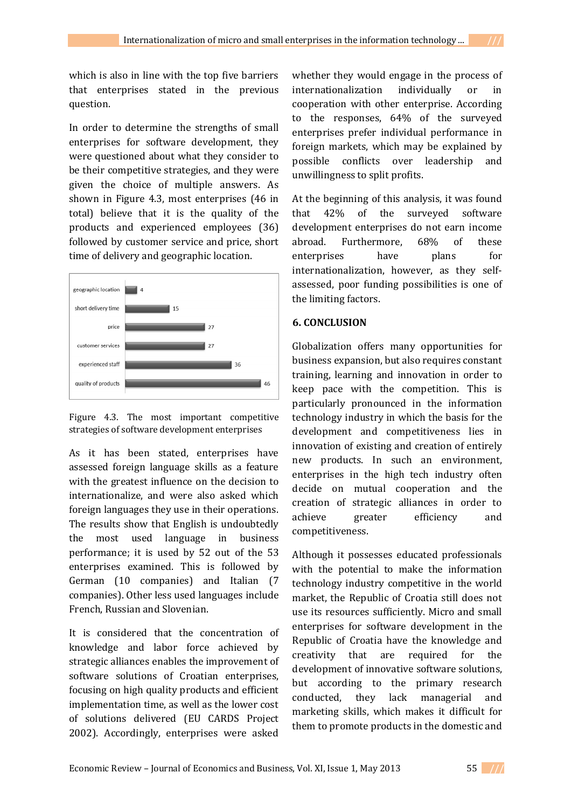which is also in line with the top five barriers that enterprises stated in the previous question.

In order to determine the strengths of small enterprises for software development, they were questioned about what they consider to be their competitive strategies, and they were given the choice of multiple answers. As shown in Figure 4.3, most enterprises (46 in total) believe that it is the quality of the products and experienced employees (36) followed by customer service and price, short time of delivery and geographic location.



Figure 4.3. The most important competitive strategies of software development enterprises

As it has been stated, enterprises have assessed foreign language skills as a feature with the greatest influence on the decision to internationalize, and were also asked which foreign languages they use in their operations. The results show that English is undoubtedly the most used language in business performance; it is used by 52 out of the 53 enterprises examined. This is followed by German (10 companies) and Italian (7 companies). Other less used languages include French, Russian and Slovenian.

It is considered that the concentration of knowledge and labor force achieved by strategic alliances enables the improvement of software solutions of Croatian enterprises, focusing on high quality products and efficient implementation time, as well as the lower cost of solutions delivered (EU CARDS Project 2002). Accordingly, enterprises were asked

whether they would engage in the process of internationalization individually or in cooperation with other enterprise. According to the responses, 64% of the surveyed enterprises prefer individual performance in foreign markets, which may be explained by possible conflicts over leadership and unwillingness to split profits.

At the beginning of this analysis, it was found that 42% of the surveyed software development enterprises do not earn income abroad. Furthermore, 68% of these enterprises have plans for internationalization, however, as they selfassessed, poor funding possibilities is one of the limiting factors.

### **6. CONCLUSION**

Globalization offers many opportunities for business expansion, but also requires constant training, learning and innovation in order to keep pace with the competition. This is particularly pronounced in the information technology industry in which the basis for the development and competitiveness lies in innovation of existing and creation of entirely new products. In such an environment, enterprises in the high tech industry often decide on mutual cooperation and the creation of strategic alliances in order to achieve greater efficiency and competitiveness.

Although it possesses educated professionals with the potential to make the information technology industry competitive in the world market, the Republic of Croatia still does not use its resources sufficiently. Micro and small enterprises for software development in the Republic of Croatia have the knowledge and creativity that are required for the development of innovative software solutions, but according to the primary research conducted, they lack managerial and marketing skills, which makes it difficult for them to promote products in the domestic and

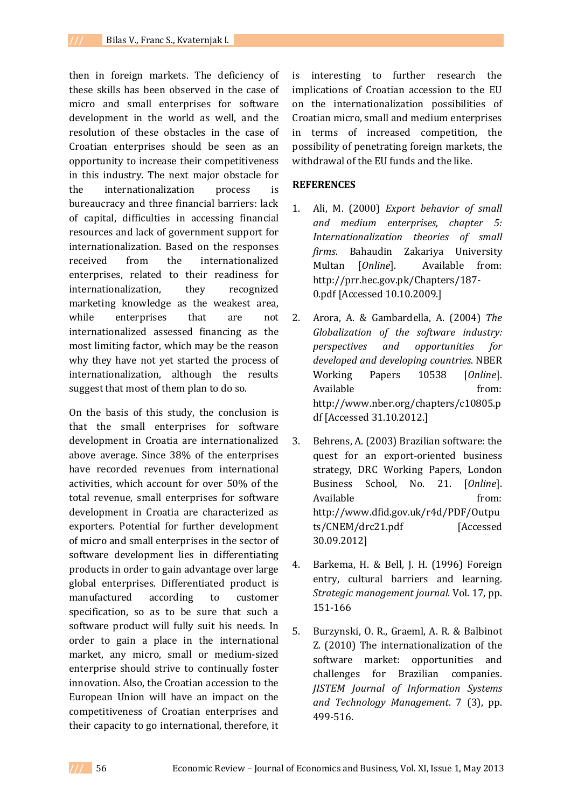then in foreign markets. The deficiency of these skills has been observed in the case of micro and small enterprises for software development in the world as well, and the resolution of these obstacles in the case of Croatian enterprises should be seen as an opportunity to increase their competitiveness in this industry. The next major obstacle for the internationalization process is bureaucracy and three financial barriers: lack of capital, difficulties in accessing financial resources and lack of government support for internationalization. Based on the responses received from the internationalized enterprises, related to their readiness for internationalization, they recognized marketing knowledge as the weakest area, while enterprises that are not internationalized assessed financing as the most limiting factor, which may be the reason why they have not yet started the process of internationalization, although the results suggest that most of them plan to do so.

On the basis of this study, the conclusion is that the small enterprises for software development in Croatia are internationalized above average. Since 38% of the enterprises have recorded revenues from international activities, which account for over 50% of the total revenue, small enterprises for software development in Croatia are characterized as exporters. Potential for further development of micro and small enterprises in the sector of software development lies in differentiating products in order to gain advantage over large global enterprises. Differentiated product is manufactured according to customer specification, so as to be sure that such a software product will fully suit his needs. In order to gain a place in the international market, any micro, small or medium-sized enterprise should strive to continually foster innovation. Also, the Croatian accession to the European Union will have an impact on the competitiveness of Croatian enterprises and their capacity to go international, therefore, it

is interesting to further research the implications of Croatian accession to the EU on the internationalization possibilities of Croatian micro, small and medium enterprises in terms of increased competition, the possibility of penetrating foreign markets, the withdrawal of the EU funds and the like.

#### **REFERENCES**

- 1. Ali, M. (2000) *Export behavior of small and medium enterprises, chapter 5: Internationalization theories of small firms*. Bahaudin Zakariya University Multan [*Online*]. Available from: http://prr.hec.gov.pk/Chapters/187- 0.pdf [Accessed 10.10.2009.]
- 2. Arora, A. & Gambardella, A. (2004) *The Globalization of the software industry: perspectives and opportunities for developed and developing countries*. NBER Working Papers 10538 [*Online*]. Available from: http://www.nber.org/chapters/c10805.p df [Accessed 31.10.2012.]
- 3. Behrens, A. (2003) Brazilian software: the quest for an export-oriented business strategy, DRC Working Papers, London Business School, No. 21. [*Online*]. Available from: http://www.dfid.gov.uk/r4d/PDF/Outpu ts/CNEM/drc21.pdf [Accessed 30.09.2012]
- 4. Barkema, H. & Bell, J. H. (1996) Foreign entry, cultural barriers and learning. *Strategic management journal.* Vol. 17, pp. 151-166
- 5. Burzynski, O. R., Graeml, A. R. & Balbinot Z. (2010) The internationalization of the software market: opportunities and challenges for Brazilian companies. *JISTEM Journal of Information Systems and Technology Management*. 7 (3), pp. 499-516.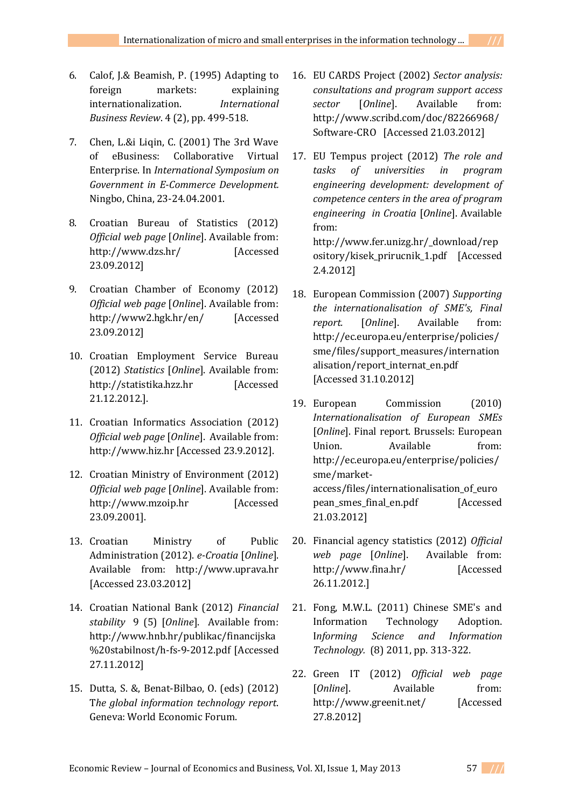- 6. Calof, J.& Beamish, P. (1995) Adapting to foreign markets: explaining internationalization. *International Business Review*. 4 (2), pp. 499-518.
- 7. Chen, L.&i Liqin, C. (2001) The 3rd Wave of eBusiness: Collaborative Virtual Enterprise. In *International Symposium on Government in E-Commerce Development.* Ningbo, China, 23-24.04.2001.
- 8. Croatian Bureau of Statistics (2012) *Official web page* [*Online*]. Available from: http://www.dzs.hr/ [Accessed 23.09.2012]
- 9. Croatian Chamber of Economy (2012) *Official web page* [*Online*]. Available from: http://www2.hgk.hr/en/ [Accessed 23.09.2012]
- 10. Croatian Employment Service Bureau (2012) *Statistics* [*Online*]. Available from: http://statistika.hzz.hr [Accessed 21.12.2012.].
- 11. Croatian Informatics Association (2012) *Official web page* [*Online*]. Available from: http://www.hiz.hr [Accessed 23.9.2012].
- 12. Croatian Ministry of Environment (2012) *Official web page* [*Online*]. Available from: http://www.mzoip.hr [Accessed 23.09.2001].
- 13. Croatian Ministry of Public Administration (2012). *e-Croatia* [*Online*]. Available from: http://www.uprava.hr [Accessed 23.03.2012]
- 14. Croatian National Bank (2012) *Financial stability* 9 (5) [*Online*]. Available from: http://www.hnb.hr/publikac/financijska %20stabilnost/h-fs-9-2012.pdf [Accessed 27.11.2012]
- 15. Dutta, S. &, Benat-Bilbao, O. (eds) (2012) T*he global information technology report*. Geneva: World Economic Forum.
- 16. EU CARDS Project (2002) *Sector analysis: consultations and program support access sector* [*Online*]. Available from: http://www.scribd.com/doc/82266968/ Software-CRO [Accessed 21.03.2012]
- 17. EU Tempus project (2012) *The role and tasks of universities in program engineering development: development of competence centers in the area of program engineering in Croatia* [*Online*]. Available from: http://www.fer.unizg.hr/\_download/rep ository/kisek\_prirucnik\_1.pdf [Accessed

2.4.2012]

- 18. European Commission (2007) *Supporting the internationalisation of SME's, Final report.* [*Online*]. Available from: http://ec.europa.eu/enterprise/policies/ sme/files/support\_measures/internation alisation/report\_internat\_en.pdf [Accessed 31.10.2012]
- 19. European Commission (2010) *Internationalisation of European SMEs*  [*Online*]. Final report. Brussels: European Union. Available from: http://ec.europa.eu/enterprise/policies/ sme/marketaccess/files/internationalisation\_of\_euro pean\_smes\_final\_en.pdf [Accessed 21.03.2012]
- 20. Financial agency statistics (2012) *Official web page* [*Online*]. Available from: http://www.fina.hr/ [Accessed 26.11.2012.]
- 21. Fong, M.W.L. (2011) Chinese SME's and Information Technology Adoption. I*nforming Science and Information Technology.* (8) 2011, pp. 313-322.
- 22. Green IT (2012) *Official web page*  [*Online*]. Available from: http://www.greenit.net/ [Accessed 27.8.2012]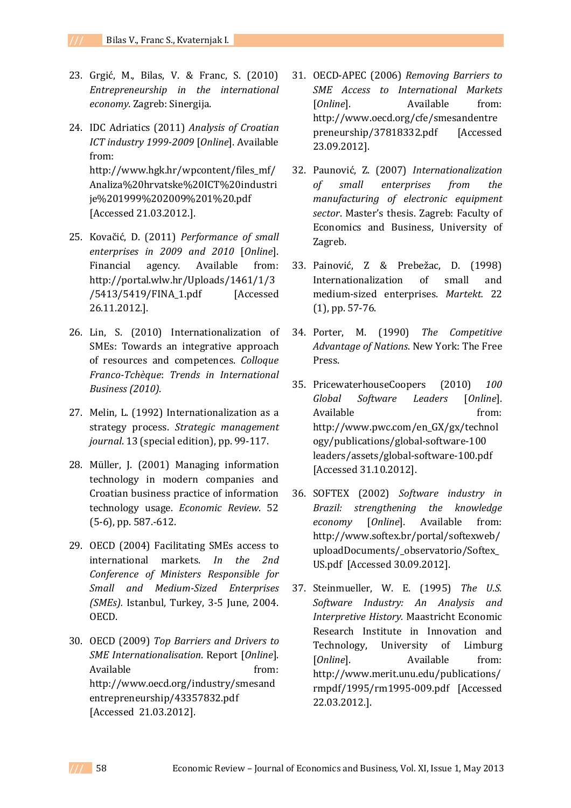- 23. Grgić, M., Bilas, V. & Franc, S. (2010) *Entrepreneurship in the international economy.* Zagreb: Sinergija.
- 24. IDC Adriatics (2011) *Analysis of Croatian ICT industry 1999-2009* [*Online*]. Available from: http://www.hgk.hr/wpcontent/files\_mf/ Analiza%20hrvatske%20ICT%20industri je%201999%202009%201%20.pdf [Accessed 21.03.2012.].
- 25. Kovačić, D. (2011) *Performance of small enterprises in 2009 and 2010* [*Online*]. Financial agency. Available from: http://portal.wlw.hr/Uploads/1461/1/3 /5413/5419/FINA\_1.pdf [Accessed 26.11.2012.].
- 26. Lin, S. (2010) Internationalization of SMEs: Towards an integrative approach of resources and competences. *Colloque Franco-Tchèque*: *Trends in International Business (2010)*.
- 27. Melin, L. (1992) Internationalization as a strategy process. *Strategic management journal*. 13 (special edition), pp. 99-117.
- 28. Müller, J. (2001) Managing information technology in modern companies and Croatian business practice of information technology usage. *Economic Review*. 52 (5-6), pp. 587.-612.
- 29. OECD (2004) Facilitating SMEs access to international markets. *In the 2nd Conference of Ministers Responsible for Small and Medium-Sized Enterprises (SMEs).* Istanbul, Turkey, 3-5 June, 2004. OECD.
- 30. OECD (2009) *Top Barriers and Drivers to SME Internationalisation*. Report [*Online*]. Available from: http://www.oecd.org/industry/smesand entrepreneurship/43357832.pdf [Accessed 21.03.2012].
- 31. OECD-APEC (2006) *Removing Barriers to SME Access to International Markets* [*Online*]. Available from: http://www.oecd.org/cfe/smesandentre preneurship/37818332.pdf [Accessed 23.09.2012].
- 32. Paunović, Z. (2007) *Internationalization of small enterprises from the manufacturing of electronic equipment sector*. Master's thesis. Zagreb: Faculty of Economics and Business, University of Zagreb.
- 33. Painović, Z & Prebežac, D. (1998) Internationalization of small and medium-sized enterprises. *Martekt.* 22 (1), pp. 57-76.
- 34. Porter, M. (1990) *The Competitive Advantage of Nations*. New York: The Free Press.
- 35. PricewaterhouseCoopers (2010) *100 Global Software Leaders* [*Online*]. Available from: http://www.pwc.com/en\_GX/gx/technol ogy/publications/global-software-100 leaders/assets/global-software-100.pdf [Accessed 31.10.2012].
- 36. SOFTEX (2002) *Software industry in Brazil: strengthening the knowledge economy* [*Online*]. Available from: http://www.softex.br/portal/softexweb/ uploadDocuments/\_observatorio/Softex\_ US.pdf [Accessed 30.09.2012].
- 37. Steinmueller, W. E. (1995) *The U.S. Software Industry: An Analysis and Interpretive History.* Maastricht Economic Research Institute in Innovation and Technology, University of Limburg [*Online*]. Available from: http://www.merit.unu.edu/publications/ rmpdf/1995/rm1995-009.pdf [Accessed 22.03.2012.].